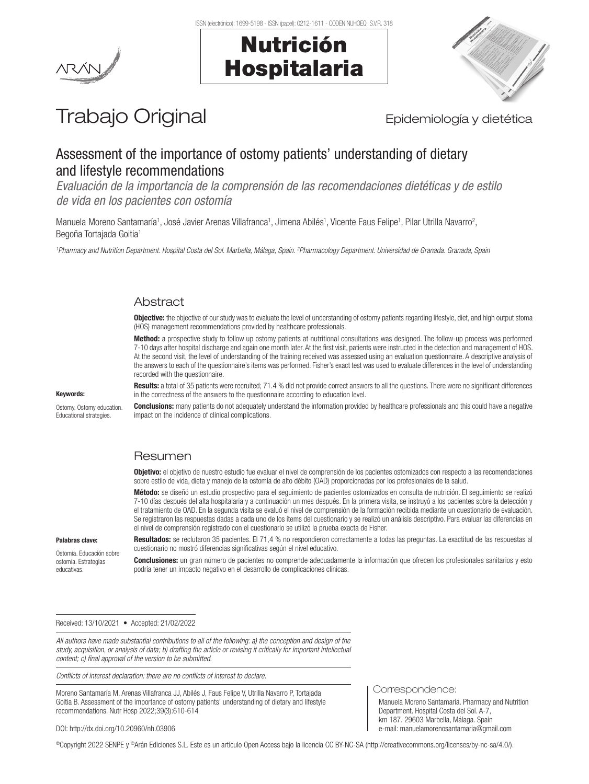Nutrición

Hospitalaria



# Trabajo Original **Epidemiología y dietética**

## Assessment of the importance of ostomy patients' understanding of dietary and lifestyle recommendations

*Evaluación de la importancia de la comprensión de las recomendaciones dietéticas y de estilo de vida en los pacientes con ostomía*

Manuela Moreno Santamaría1, José Javier Arenas Villafranca1, Jimena Abilés1, Vicente Faus Felipe1, Pilar Utrilla Navarro<sup>2</sup>, Begoña Tortajada Goitia<sup>1</sup>

<sup>1</sup>Pharmacy and Nutrition Department. Hospital Costa del Sol. Marbella, Málaga, Spain. <sup>2</sup>Pharmacology Department. Universidad de Granada. Granada, Spain

## **Abstract**

Objective: the objective of our study was to evaluate the level of understanding of ostomy patients regarding lifestyle, diet, and high output stoma (HOS) management recommendations provided by healthcare professionals.

Method: a prospective study to follow up ostomy patients at nutritional consultations was designed. The follow-up process was performed 7-10 days after hospital discharge and again one month later. At the first visit, patients were instructed in the detection and management of HOS. At the second visit, the level of understanding of the training received was assessed using an evaluation questionnaire. A descriptive analysis of the answers to each of the questionnaire's items was performed. Fisher's exact test was used to evaluate differences in the level of understanding recorded with the questionnaire.

Keywords:

Ostomy. Ostomy education. Educational strategies.

Results: a total of 35 patients were recruited; 71.4 % did not provide correct answers to all the questions. There were no significant differences in the correctness of the answers to the questionnaire according to education level.

Conclusions: many patients do not adequately understand the information provided by healthcare professionals and this could have a negative impact on the incidence of clinical complications.

## Resumen

Objetivo: el objetivo de nuestro estudio fue evaluar el nivel de comprensión de los pacientes ostomizados con respecto a las recomendaciones sobre estilo de vida, dieta y manejo de la ostomía de alto débito (OAD) proporcionadas por los profesionales de la salud.

Método: se diseñó un estudio prospectivo para el seguimiento de pacientes ostomizados en consulta de nutrición. El seguimiento se realizó 7-10 días después del alta hospitalaria y a continuación un mes después. En la primera visita, se instruyó a los pacientes sobre la detección y el tratamiento de OAD. En la segunda visita se evaluó el nivel de comprensión de la formación recibida mediante un cuestionario de evaluación. Se registraron las respuestas dadas a cada uno de los ítems del cuestionario y se realizó un análisis descriptivo. Para evaluar las diferencias en el nivel de comprensión registrado con el cuestionario se utilizó la prueba exacta de Fisher.

Palabras clave:

Ostomía. Educación sobre ostomía. Estrategias educativas.

Resultados: se reclutaron 35 pacientes. El 71,4 % no respondieron correctamente a todas las preguntas. La exactitud de las respuestas al cuestionario no mostró diferencias significativas según el nivel educativo.

Conclusiones: un gran número de pacientes no comprende adecuadamente la información que ofrecen los profesionales sanitarios y esto podría tener un impacto negativo en el desarrollo de complicaciones clínicas.

#### Received: 13/10/2021 • Accepted: 21/02/2022

*All authors have made substantial contributions to all of the following: a) the conception and design of the study, acquisition, or analysis of data; b) drafting the article or revising it critically for important intellectual content; c) final approval of the version to be submitted.*

*Conflicts of interest declaration: there are no conflicts of interest to declare.*

Moreno Santamaría M, Arenas Villafranca JJ, Abilés J, Faus Felipe V, Utrilla Navarro P, Tortajada Goitia B. Assessment of the importance of ostomy patients' understanding of dietary and lifestyle recommendations. Nutr Hosp 2022;39(3):610-614

#### DOI: http://dx.doi.org/10.20960/nh.03906

©Copyright 2022 SENPE y ©Arán Ediciones S.L. Este es un artículo Open Access bajo la licencia CC BY-NC-SA (http://creativecommons.org/licenses/by-nc-sa/4.0/).

## Correspondence:

Manuela Moreno Santamaría. Pharmacy and Nutrition Department. Hospital Costa del Sol. A-7, km 187. 29603 Marbella, Málaga. Spain e-mail: manuelamorenosantamaria@gmail.com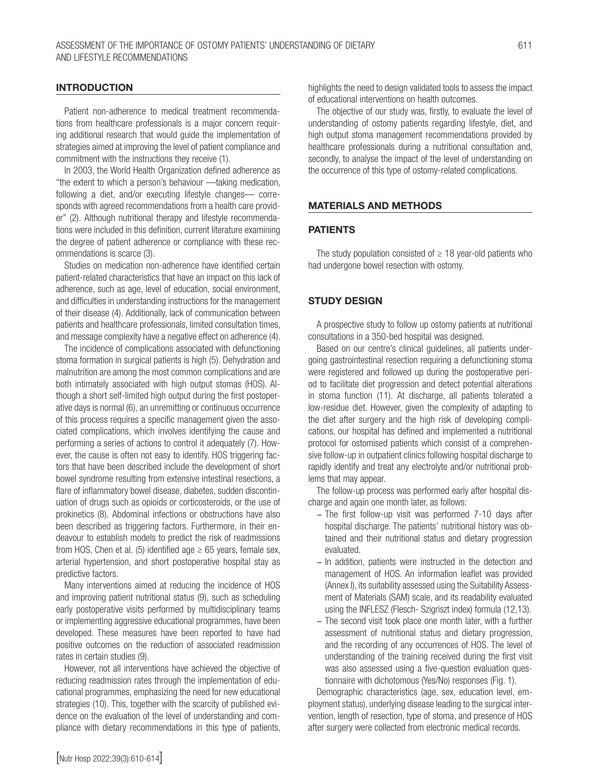## INTRODUCTION

Patient non-adherence to medical treatment recommendations from healthcare professionals is a major concern requiring additional research that would guide the implementation of strategies aimed at improving the level of patient compliance and commitment with the instructions they receive (1).

In 2003, the World Health Organization defined adherence as "the extent to which a person's behaviour —taking medication, following a diet, and/or executing lifestyle changes— corresponds with agreed recommendations from a health care provider" (2). Although nutritional therapy and lifestyle recommendations were included in this definition, current literature examining the degree of patient adherence or compliance with these recommendations is scarce (3).

Studies on medication non-adherence have identified certain patient-related characteristics that have an impact on this lack of adherence, such as age, level of education, social environment, and difficulties in understanding instructions for the management of their disease (4). Additionally, lack of communication between patients and healthcare professionals, limited consultation times, and message complexity have a negative effect on adherence (4).

The incidence of complications associated with defunctioning stoma formation in surgical patients is high (5). Dehydration and malnutrition are among the most common complications and are both intimately associated with high output stomas (HOS). Although a short self-limited high output during the first postoperative days is normal (6), an unremitting or continuous occurrence of this process requires a specific management given the associated complications, which involves identifying the cause and performing a series of actions to control it adequately (7). However, the cause is often not easy to identify. HOS triggering factors that have been described include the development of short bowel syndrome resulting from extensive intestinal resections, a flare of inflammatory bowel disease, diabetes, sudden discontinuation of drugs such as opioids or corticosteroids, or the use of prokinetics (8). Abdominal infections or obstructions have also been described as triggering factors. Furthermore, in their endeavour to establish models to predict the risk of readmissions from HOS, Chen et al. (5) identified age  $\geq 65$  years, female sex, arterial hypertension, and short postoperative hospital stay as predictive factors.

Many interventions aimed at reducing the incidence of HOS and improving patient nutritional status (9), such as scheduling early postoperative visits performed by multidisciplinary teams or implementing aggressive educational programmes, have been developed. These measures have been reported to have had positive outcomes on the reduction of associated readmission rates in certain studies (9).

However, not all interventions have achieved the objective of reducing readmission rates through the implementation of educational programmes, emphasizing the need for new educational strategies (10). This, together with the scarcity of published evidence on the evaluation of the level of understanding and compliance with dietary recommendations in this type of patients, highlights the need to design validated tools to assess the impact of educational interventions on health outcomes.

The objective of our study was, firstly, to evaluate the level of understanding of ostomy patients regarding lifestyle, diet, and high output stoma management recommendations provided by healthcare professionals during a nutritional consultation and, secondly, to analyse the impact of the level of understanding on the occurrence of this type of ostomy-related complications.

## MATERIALS AND METHODS

#### PATIENTS

The study population consisted of  $\geq$  18 year-old patients who had undergone bowel resection with ostomy.

## STUDY DESIGN

A prospective study to follow up ostomy patients at nutritional consultations in a 350-bed hospital was designed.

Based on our centre's clinical guidelines, all patients undergoing gastrointestinal resection requiring a defunctioning stoma were registered and followed up during the postoperative period to facilitate diet progression and detect potential alterations in stoma function (11). At discharge, all patients tolerated a low-residue diet. However, given the complexity of adapting to the diet after surgery and the high risk of developing complications, our hospital has defined and implemented a nutritional protocol for ostomised patients which consist of a comprehensive follow-up in outpatient clinics following hospital discharge to rapidly identify and treat any electrolyte and/or nutritional problems that may appear.

The follow-up process was performed early after hospital discharge and again one month later, as follows:

- − The first follow-up visit was performed 7-10 days after hospital discharge. The patients' nutritional history was obtained and their nutritional status and dietary progression evaluated.
- − In addition, patients were instructed in the detection and management of HOS. An information leaflet was provided (Annex I), its suitability assessed using the Suitability Assessment of Materials (SAM) scale, and its readability evaluated using the INFLESZ (Flesch‐ Szigriszt index) formula (12,13).
- − The second visit took place one month later, with a further assessment of nutritional status and dietary progression, and the recording of any occurrences of HOS. The level of understanding of the training received during the first visit was also assessed using a five-question evaluation questionnaire with dichotomous (Yes/No) responses (Fig. 1).

Demographic characteristics (age, sex, education level, employment status), underlying disease leading to the surgical intervention, length of resection, type of stoma, and presence of HOS after surgery were collected from electronic medical records.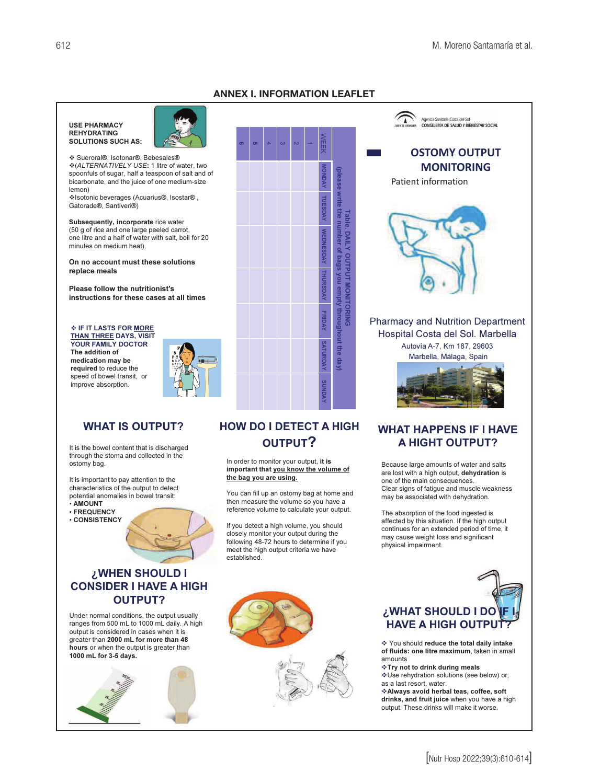## **ANNEX I. INFORMATION LEAFLET**

write the number of bags you

**Gubty** througl

hout the





❖ Sueroral®, Isotonar®, Bebesales® \* (ALTERNATIVELY USE: 1 litre of water, two spoonfuls of sugar, half a teaspoon of salt and of bicarbonate, and the juice of one medium-size lemon) ❖Isotonic beverages (Acuarius®, Isostar®,

Gatorade<sup>®</sup>, Santiveri<sup>®</sup>)

Subsequently, incorporate rice water (50 g of rice and one large peeled carrot, one litre and a half of water with salt, boil for 20 minutes on medium heat).

On no account must these solutions replace meals

Please follow the nutritionist's instructions for these cases at all times

♦ IF IT LASTS FOR MORE **THAN THREE DAYS, VISIT YOUR FAMILY DOCTOR** The addition of medication may be required to reduce the speed of bowel transit, or improve absorption.



## **WHAT IS OUTPUT?**

It is the bowel content that is discharged through the stoma and collected in the ostomy bag.

It is important to pay attention to the characteristics of the output to detect potential anomalies in bowel transit:

 $\cdot$  AMOUNT

- · FREQUENCY
- **CONSISTENCY**

## ¿WHEN SHOULD I **CONSIDER I HAVE A HIGH OUTPUT?**

Under normal conditions, the output usually ranges from 500 mL to 1000 mL daily. A high output is considered in cases when it is greater than 2000 mL for more than 48 hours or when the output is greater than 1000 mL for 3-5 days.



## **HOW DO I DETECT A HIGH OUTPUT?**

In order to monitor your output, it is important that you know the volume of the bag you are using.

You can fill up an ostomy bag at home and then measure the volume so you have a reference volume to calculate your output.

If you detect a high volume, you should closely monitor your output during the following 48-72 hours to determine if you meet the high output criteria we have established



The absorption of the food ingested is affected by this situation. If the high output continues for an extended period of time, it may cause weight loss and significant physical impairment.

# ¿WHAT SHOULD I DO **HAVE A HIGH OUTPL**

❖ You should reduce the total daily intake of fluids: one litre maximum, taken in small amounts

- ❖ Try not to drink during meals
- \*Use rehydration solutions (see below) or, as a last resort water
- 

❖ Always avoid herbal teas, coffee, soft drinks, and fruit juice when you have a high output. These drinks will make it worse.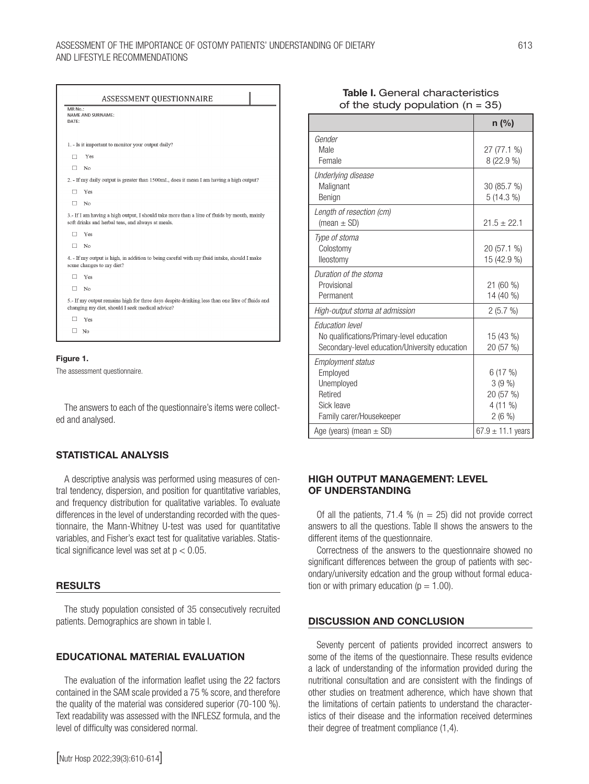## Assessment of the importance of ostomy patients' understanding of dietary 613 and lifestyle recommendations

|                  | ASSESSMENT QUESTIONNAIRE                                                                                                                           |
|------------------|----------------------------------------------------------------------------------------------------------------------------------------------------|
| MR No.:<br>DATE: | NAME AND SURNAME:                                                                                                                                  |
|                  | 1. - Is it important to monitor your output daily?                                                                                                 |
| п                | Yes                                                                                                                                                |
| п                | No                                                                                                                                                 |
|                  | 2. - If my daily output is greater than 1500mL, does it mean I am having a high output?                                                            |
| п                | Yes                                                                                                                                                |
| п                | No                                                                                                                                                 |
|                  | 3.- If I am having a high output, I should take more than a litre of fluids by mouth, mainly<br>soft drinks and herbal teas, and always at meals.  |
| п                | Yes                                                                                                                                                |
| п                | No                                                                                                                                                 |
|                  | 4. - If my output is high, in addition to being careful with my fluid intake, should I make<br>some changes to my diet?                            |
| п                | Yes                                                                                                                                                |
| п                | N <sub>0</sub>                                                                                                                                     |
|                  | 5.- If my output remains high for three days despite drinking less than one litre of fluids and<br>changing my diet, should I seek medical advice? |
|                  | Yes                                                                                                                                                |
|                  | N <sub>0</sub>                                                                                                                                     |

#### Figure 1.

The assessment questionnaire.

The answers to each of the questionnaire's items were collected and analysed.

## STATISTICAL ANALYSIS

A descriptive analysis was performed using measures of central tendency, dispersion, and position for quantitative variables, and frequency distribution for qualitative variables. To evaluate differences in the level of understanding recorded with the questionnaire, the Mann-Whitney U-test was used for quantitative variables, and Fisher's exact test for qualitative variables. Statistical significance level was set at  $p < 0.05$ .

### RESULTS

The study population consisted of 35 consecutively recruited patients. Demographics are shown in table I.

## EDUCATIONAL MATERIAL EVALUATION

The evaluation of the information leaflet using the 22 factors contained in the SAM scale provided a 75 % score, and therefore the quality of the material was considered superior (70-100 %). Text readability was assessed with the INFLESZ formula, and the level of difficulty was considered normal.

## Table I. General characteristics of the study population  $(n = 35)$

|                                                | $n$ (%)               |  |
|------------------------------------------------|-----------------------|--|
| Gender                                         |                       |  |
| Male                                           | 27 (77.1 %)           |  |
| Female                                         | $8(22.9\%)$           |  |
| Underlying disease                             |                       |  |
| Malignant                                      | 30 (85.7 %)           |  |
| Benign                                         | $5(14.3\%)$           |  |
| Length of resection (cm)                       |                       |  |
| (mean $\pm$ SD)                                | $21.5 \pm 22.1$       |  |
| Type of stoma                                  |                       |  |
| Colostomy                                      | 20 (57.1 %)           |  |
| lleostomy                                      | 15 (42.9 %)           |  |
| Duration of the stoma                          |                       |  |
| Provisional                                    | 21 (60 %)             |  |
| Permanent                                      | 14 (40 %)             |  |
| High-output stoma at admission                 | 2(5.7%)               |  |
| <b>Education level</b>                         |                       |  |
| No qualifications/Primary-level education      | 15 (43 %)             |  |
| Secondary-level education/University education | 20 (57 %)             |  |
| <b>Employment status</b>                       |                       |  |
| Employed                                       | 6(17%)                |  |
| Unemployed                                     | 3(9%                  |  |
| Retired                                        | 20 (57 %)             |  |
| Sick leave                                     | $4(11\%)$             |  |
| Family carer/Housekeeper                       | 2(6%)                 |  |
| Age (years) (mean $\pm$ SD)                    | $67.9 \pm 11.1$ years |  |

## HIGH OUTPUT MANAGEMENT: LEVEL OF UNDERSTANDING

Of all the patients, 71.4 % ( $n = 25$ ) did not provide correct answers to all the questions. Table II shows the answers to the different items of the questionnaire.

Correctness of the answers to the questionnaire showed no significant differences between the group of patients with secondary/university edcation and the group without formal education or with primary education ( $p = 1.00$ ).

### DISCUSSION AND CONCLUSION

Seventy percent of patients provided incorrect answers to some of the items of the questionnaire. These results evidence a lack of understanding of the information provided during the nutritional consultation and are consistent with the findings of other studies on treatment adherence, which have shown that the limitations of certain patients to understand the characteristics of their disease and the information received determines their degree of treatment compliance (1,4).